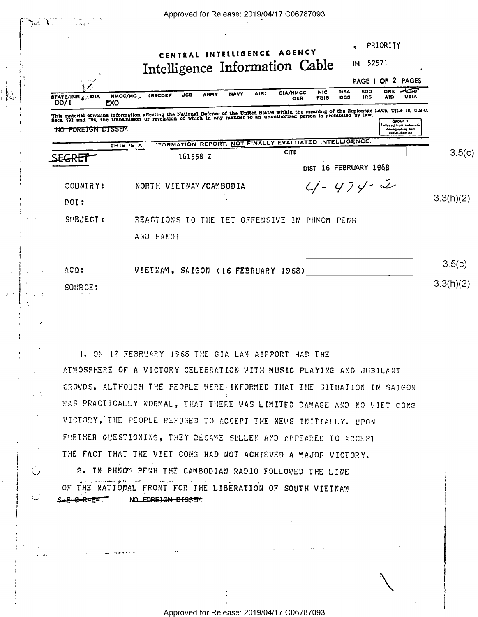| PAGE 1 OF 2 PAGES<br>んぷ<br><b>ONE</b><br><b>SDO</b><br><b>NSA</b><br><b>NIC</b><br><b>CIA/NMCC</b><br>AIR)<br><b>NAVY</b><br><b>ARMY</b><br>JCB<br>(SECDEF<br>NMCC/MC<br><b>STATE/INR ALL DIA</b><br>USIA<br><b>IRS</b><br>A1D<br>DCS<br><b>FBIS</b><br><b>OER</b><br>DD/I<br>EX <sub>0</sub><br>Excluded from automoti<br><del>NO FOREIGN DISSEM</del><br>downgrading and<br>declassification<br><b>FORMATION REPORT, NOT FINALLY EVALUATED INTELLIGENCE.</b><br>THIS IS A<br><b>CITE</b><br>161558 Z<br>DIST 16 FEBRUARY 1968<br>$4 - 474 - 2$<br>NORTH VIETNAM/CAMBODIA<br>COUNTRY:<br>NOT:<br>SUBJECT:<br>REACTIONS TO THE TET OFFENSIVE IN PHNOM PENH<br>AND HAMOI | PRIORITY<br>CENTRAL INTELLIGENCE AGENCY<br>IN 52571<br>Intelligence Information Cable |           |
|-------------------------------------------------------------------------------------------------------------------------------------------------------------------------------------------------------------------------------------------------------------------------------------------------------------------------------------------------------------------------------------------------------------------------------------------------------------------------------------------------------------------------------------------------------------------------------------------------------------------------------------------------------------------------|---------------------------------------------------------------------------------------|-----------|
| This material contains information affecting the National Defense of the United States within the meaning of the Espionage Laws, Title 18, U.S.C.<br>Secs. 793 and 794, the transmisson or revelation of which in any manner to a                                                                                                                                                                                                                                                                                                                                                                                                                                       |                                                                                       |           |
|                                                                                                                                                                                                                                                                                                                                                                                                                                                                                                                                                                                                                                                                         |                                                                                       |           |
|                                                                                                                                                                                                                                                                                                                                                                                                                                                                                                                                                                                                                                                                         |                                                                                       |           |
|                                                                                                                                                                                                                                                                                                                                                                                                                                                                                                                                                                                                                                                                         |                                                                                       | 3.5(c)    |
|                                                                                                                                                                                                                                                                                                                                                                                                                                                                                                                                                                                                                                                                         |                                                                                       |           |
|                                                                                                                                                                                                                                                                                                                                                                                                                                                                                                                                                                                                                                                                         |                                                                                       |           |
|                                                                                                                                                                                                                                                                                                                                                                                                                                                                                                                                                                                                                                                                         |                                                                                       | 3.3(h)(2) |
|                                                                                                                                                                                                                                                                                                                                                                                                                                                                                                                                                                                                                                                                         |                                                                                       |           |
|                                                                                                                                                                                                                                                                                                                                                                                                                                                                                                                                                                                                                                                                         |                                                                                       |           |
|                                                                                                                                                                                                                                                                                                                                                                                                                                                                                                                                                                                                                                                                         |                                                                                       |           |
| ACQ:<br>VIETNAM, SAIGON (16 FEBRUARY 1968)<br>SOURCE:                                                                                                                                                                                                                                                                                                                                                                                                                                                                                                                                                                                                                   |                                                                                       | 3.5(c)    |

1. ON 10 FEBRUARY 1968 THE GIA LAM AIRPORT HAD THE AIMOSPHERE OF A VICTORY CELEBRATION WITH MUSIC PLAYING AND JUBILANT CROWDS. ALTHOUGH THE PEOPLE WERE INFORMED THAT THE SITUATION IN SAIGON WAS PRACTICALLY NORMAL, THAT THERE WAS LIMITED DAMAGE AND NO VIET CONG VICTORY, THE PEOPLE REFUSED TO ACCEPT THE NEWS INITIALLY. UPON FURTHER GUESTIONING, THEY BECAME SULLEN AND APPEARED TO ACCEPT THE FACT THAT THE VIET CONG HAD NOT ACHIEVED A MAJOR VICTORY.

2. IN PHNOM PENH THE CAMBODIAN RADIO FOLLOWED THE LINE OF THE NATIONAL FRONT FOR THE LIBERATION OF SOUTH VIETNAM  $S = E - C - R = E = T$ NO FOREIGN DISSEM

والمتحدث المتحدث

 $\mathbb{C}^2$ 

المديكة